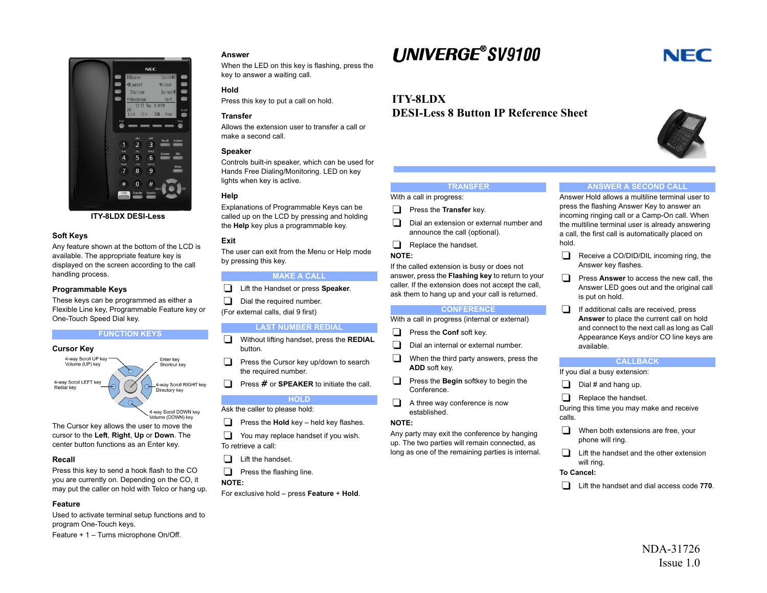

**ITY-8LDX DESI-Less**

## **Soft Keys**

Any feature shown at the bottom of the LCD is available. The appropriate feature key is displayed on the screen according to the call handling process.

## **Programmable Keys**

These keys can be programmed as either a Flexible Line key, Programmable Feature key or One-Touch Speed Dial key.

#### **FUNCTION KEYS**



The Cursor key allows the user to move the cursor to the **Left**, **Right**, **Up** or **Down**. The center button functions as an Enter key.

#### **Recall**

Press this key to send a hook flash to the CO you are currently on. Depending on the CO, it may put the caller on hold with Telco or hang up.

## **Feature**

Used to activate terminal setup functions and to program One-Touch keys. Feature + 1 – Turns microphone On/Off.

## **Answer**

When the LED on this key is flashing, press the key to answer a waiting call.

## **Hold**

Press this key to put a call on hold.

#### **Transfer**

Allows the extension user to transfer a call or make a second call.

## **Speaker**

Controls built-in speaker, which can be used for Hands Free Dialing/Monitoring. LED on key lights when key is active.

#### **Help**

Explanations of Programmable Keys can be called up on the LCD by pressing and holding the **Help** key plus a programmable key.

#### **Exit**

The user can exit from the Menu or Help mode by pressing this key.

## **MAKE A CALL**

- Lift the Handset or press **Speaker**.
- $\Box$  Dial the required number.
- (For external calls, dial 9 first)

#### **LAST NUMBER REDIAL**

- Without lifting handset, press the **REDIAL** button.
- $\Box$  Press the Cursor key up/down to search the required number.
- **Press # or SPEAKER** to initiate the call.

## **HOLD**

Ask the caller to please hold:

- **Press the Hold** key held key flashes.
- $\Box$  You may replace handset if you wish. To retrieve a call:
- $\Box$  Lift the handset.
- $\Box$  Press the flashing line.

#### **NOTE:**

For exclusive hold – press **Feature** <sup>+</sup>**Hold**.

# **LINIVERGE®SV9100**

## **ITY-8LDXDESI-Less 8 Button IP Reference Sheet**

## **TRANSFER**

With a call in progress:

- **Press the Transfer** key.
- Dial an extension or external number and announce the call (optional).
- $\Box$  Replace the handset.
- **NOTE:**

If the called extension is busy or does not answer, press the **Flashing key** to return to your caller. If the extension does not accept the call, ask them to hang up and your call is returned.

## **CONFERENCE**

#### With a call in progress (internal or external)

- **Press the Conf soft key.**
- $\Box$  Dial an internal or external number.
- $\Box$  When the third party answers, press the **ADD** soft key.
- **Press the Begin softkey to begin the** Conference.
- $\Box$  A three way conference is now established.

## **NOTE:**

Any party may exit the conference by hanging up. The two parties will remain connected, as long as one of the remaining parties is internal.

#### **ANSWER A SECOND CALL**

Answer Hold allows a multiline terminal user to press the flashing Answer Key to answer an incoming ringing call or a Camp-On call. When the multiline terminal user is already answering a call, the first call is automatically placed on hold.

- $\Box$  Receive a CO/DID/DIL incoming ring, the Answer key flashes.
- **Press Answer** to access the new call, the Answer LED goes out and the original call is put on hold.
- If additional calls are received, press **Answer** to place the current call on hold and connect to the next call as long as Call Appearance Keys and/or CO line keys are available.

#### **CALLBACK**

If you dial a busy extension:

- $\Box$  Dial # and hang up.
- Replace the handset.

During this time you may make and receive calls.

- $\Box$  When both extensions are free, your phone will ring.
- $\Box$  Lift the handset and the other extension will ring.

#### **To Cancel:**

Lift the handset and dial access code **770**.